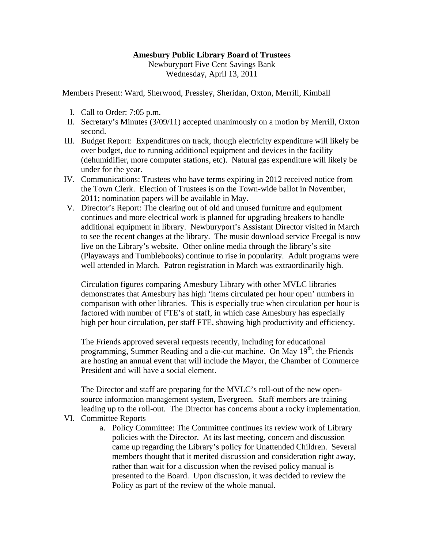## **Amesbury Public Library Board of Trustees**

Newburyport Five Cent Savings Bank Wednesday, April 13, 2011

Members Present: Ward, Sherwood, Pressley, Sheridan, Oxton, Merrill, Kimball

- I. Call to Order: 7:05 p.m.
- II. Secretary's Minutes (3/09/11) accepted unanimously on a motion by Merrill, Oxton second.
- III. Budget Report: Expenditures on track, though electricity expenditure will likely be over budget, due to running additional equipment and devices in the facility (dehumidifier, more computer stations, etc). Natural gas expenditure will likely be under for the year.
- IV. Communications: Trustees who have terms expiring in 2012 received notice from the Town Clerk. Election of Trustees is on the Town-wide ballot in November, 2011; nomination papers will be available in May.
- V. Director's Report: The clearing out of old and unused furniture and equipment continues and more electrical work is planned for upgrading breakers to handle additional equipment in library. Newburyport's Assistant Director visited in March to see the recent changes at the library. The music download service Freegal is now live on the Library's website. Other online media through the library's site (Playaways and Tumblebooks) continue to rise in popularity. Adult programs were well attended in March. Patron registration in March was extraordinarily high.

Circulation figures comparing Amesbury Library with other MVLC libraries demonstrates that Amesbury has high 'items circulated per hour open' numbers in comparison with other libraries. This is especially true when circulation per hour is factored with number of FTE's of staff, in which case Amesbury has especially high per hour circulation, per staff FTE, showing high productivity and efficiency.

The Friends approved several requests recently, including for educational programming, Summer Reading and a die-cut machine. On May  $19<sup>th</sup>$ , the Friends are hosting an annual event that will include the Mayor, the Chamber of Commerce President and will have a social element.

The Director and staff are preparing for the MVLC's roll-out of the new opensource information management system, Evergreen. Staff members are training leading up to the roll-out. The Director has concerns about a rocky implementation.

## VI. Committee Reports

a. Policy Committee: The Committee continues its review work of Library policies with the Director. At its last meeting, concern and discussion came up regarding the Library's policy for Unattended Children. Several members thought that it merited discussion and consideration right away, rather than wait for a discussion when the revised policy manual is presented to the Board. Upon discussion, it was decided to review the Policy as part of the review of the whole manual.